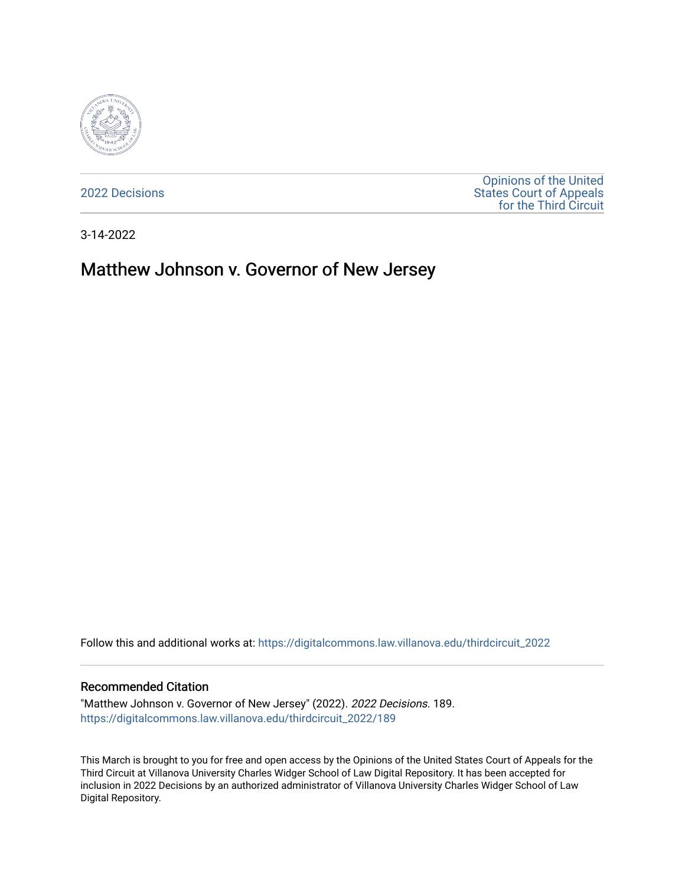

[2022 Decisions](https://digitalcommons.law.villanova.edu/thirdcircuit_2022)

[Opinions of the United](https://digitalcommons.law.villanova.edu/thirdcircuit)  [States Court of Appeals](https://digitalcommons.law.villanova.edu/thirdcircuit)  [for the Third Circuit](https://digitalcommons.law.villanova.edu/thirdcircuit) 

3-14-2022

# Matthew Johnson v. Governor of New Jersey

Follow this and additional works at: [https://digitalcommons.law.villanova.edu/thirdcircuit\\_2022](https://digitalcommons.law.villanova.edu/thirdcircuit_2022?utm_source=digitalcommons.law.villanova.edu%2Fthirdcircuit_2022%2F189&utm_medium=PDF&utm_campaign=PDFCoverPages) 

#### Recommended Citation

"Matthew Johnson v. Governor of New Jersey" (2022). 2022 Decisions. 189. [https://digitalcommons.law.villanova.edu/thirdcircuit\\_2022/189](https://digitalcommons.law.villanova.edu/thirdcircuit_2022/189?utm_source=digitalcommons.law.villanova.edu%2Fthirdcircuit_2022%2F189&utm_medium=PDF&utm_campaign=PDFCoverPages)

This March is brought to you for free and open access by the Opinions of the United States Court of Appeals for the Third Circuit at Villanova University Charles Widger School of Law Digital Repository. It has been accepted for inclusion in 2022 Decisions by an authorized administrator of Villanova University Charles Widger School of Law Digital Repository.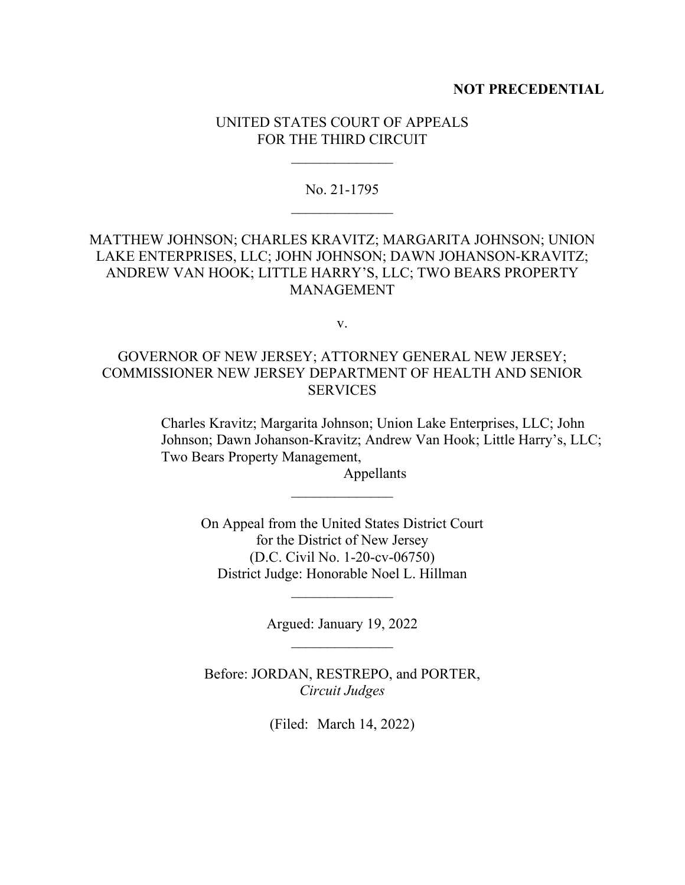#### **NOT PRECEDENTIAL**

## UNITED STATES COURT OF APPEALS FOR THE THIRD CIRCUIT

#### No. 21-1795

# MATTHEW JOHNSON; CHARLES KRAVITZ; MARGARITA JOHNSON; UNION LAKE ENTERPRISES, LLC; JOHN JOHNSON; DAWN JOHANSON-KRAVITZ; ANDREW VAN HOOK; LITTLE HARRY'S, LLC; TWO BEARS PROPERTY MANAGEMENT

v.

# GOVERNOR OF NEW JERSEY; ATTORNEY GENERAL NEW JERSEY; COMMISSIONER NEW JERSEY DEPARTMENT OF HEALTH AND SENIOR **SERVICES**

Charles Kravitz; Margarita Johnson; Union Lake Enterprises, LLC; John Johnson; Dawn Johanson-Kravitz; Andrew Van Hook; Little Harry's, LLC; Two Bears Property Management,

Appellants

On Appeal from the United States District Court for the District of New Jersey (D.C. Civil No. 1-20-cv-06750) District Judge: Honorable Noel L. Hillman

Argued: January 19, 2022

 $\frac{1}{2}$ 

Before: JORDAN, RESTREPO, and PORTER, *Circuit Judges*

(Filed: March 14, 2022)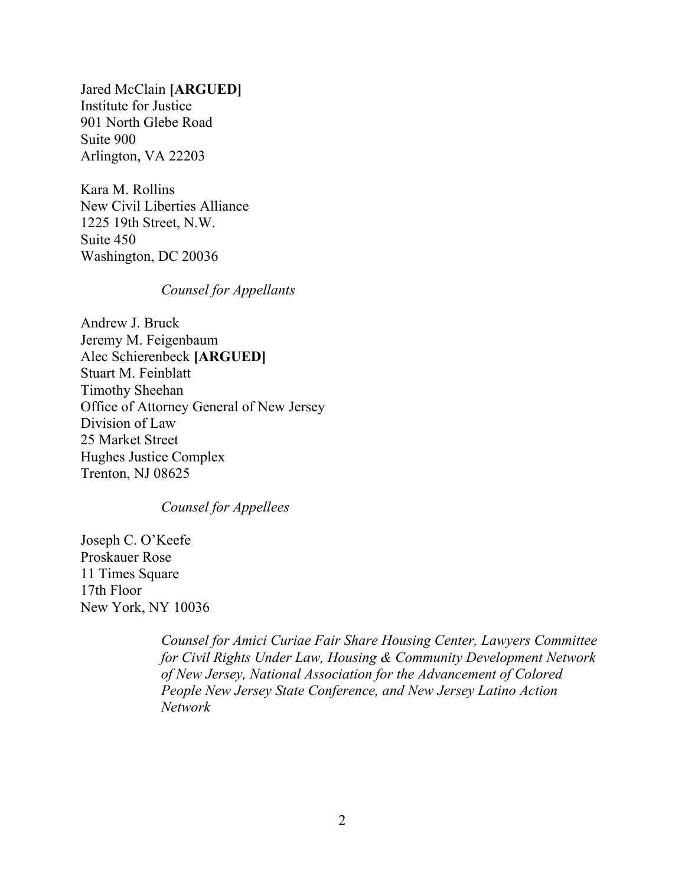Jared McClain **[ARGUED]** Institute for Justice 901 North Glebe Road Suite 900 Arlington, VA 22203

Kara M. Rollins New Civil Liberties Alliance 1225 19th Street, N.W. Suite 450 Washington, DC 20036

## *Counsel for Appellants*

Andrew J. Bruck Jeremy M. Feigenbaum Alec Schierenbeck **[ARGUED]** Stuart M. Feinblatt Timothy Sheehan Office of Attorney General of New Jersey Division of Law 25 Market Street Hughes Justice Complex Trenton, NJ 08625

## *Counsel for Appellees*

Joseph C. O'Keefe Proskauer Rose 11 Times Square 17th Floor New York, NY 10036

> *Counsel for Amici Curiae Fair Share Housing Center, Lawyers Committee for Civil Rights Under Law, Housing & Community Development Network of New Jersey, National Association for the Advancement of Colored People New Jersey State Conference, and New Jersey Latino Action Network*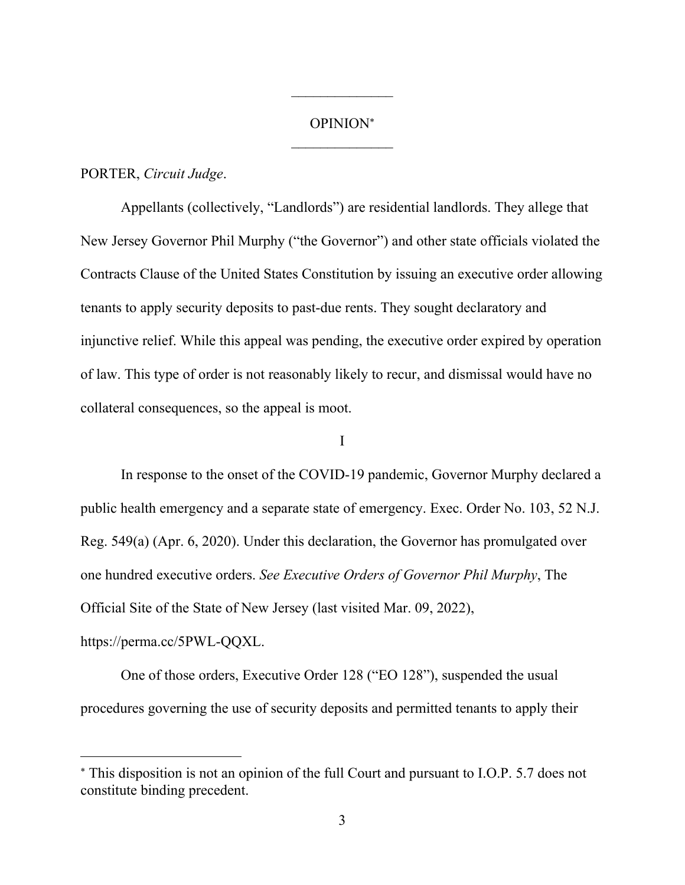# OPINION  $\mathcal{L}_\text{max}$

 $\frac{1}{2}$ 

## PORTER, *Circuit Judge*.

Appellants (collectively, "Landlords") are residential landlords. They allege that New Jersey Governor Phil Murphy ("the Governor") and other state officials violated the Contracts Clause of the United States Constitution by issuing an executive order allowing tenants to apply security deposits to past-due rents. They sought declaratory and injunctive relief. While this appeal was pending, the executive order expired by operation of law. This type of order is not reasonably likely to recur, and dismissal would have no collateral consequences, so the appeal is moot.

#### I

In response to the onset of the COVID-19 pandemic, Governor Murphy declared a public health emergency and a separate state of emergency. Exec. Order No. 103, 52 N.J. Reg. 549(a) (Apr. 6, 2020). Under this declaration, the Governor has promulgated over one hundred executive orders. *See Executive Orders of Governor Phil Murphy*, The Official Site of the State of New Jersey (last visited Mar. 09, 2022),

https://perma.cc/5PWL-QQXL.

One of those orders, Executive Order 128 ("EO 128"), suspended the usual procedures governing the use of security deposits and permitted tenants to apply their

This disposition is not an opinion of the full Court and pursuant to I.O.P. 5.7 does not constitute binding precedent.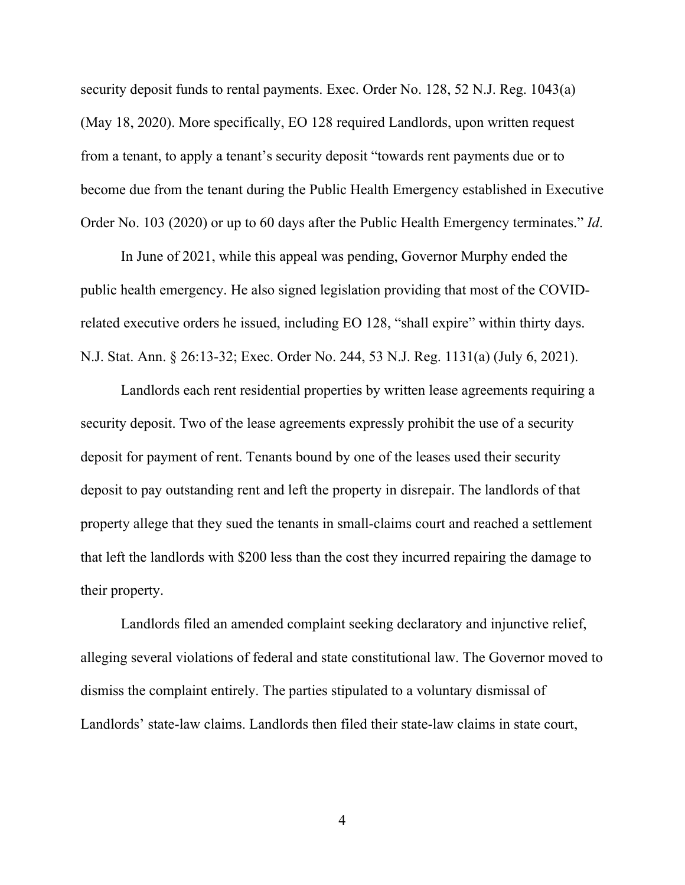security deposit funds to rental payments. Exec. Order No. 128, 52 N.J. Reg. 1043(a) (May 18, 2020). More specifically, EO 128 required Landlords, upon written request from a tenant, to apply a tenant's security deposit "towards rent payments due or to become due from the tenant during the Public Health Emergency established in Executive Order No. 103 (2020) or up to 60 days after the Public Health Emergency terminates." *Id*.

In June of 2021, while this appeal was pending, Governor Murphy ended the public health emergency. He also signed legislation providing that most of the COVIDrelated executive orders he issued, including EO 128, "shall expire" within thirty days. N.J. Stat. Ann. § 26:13-32; Exec. Order No. 244, 53 N.J. Reg. 1131(a) (July 6, 2021).

Landlords each rent residential properties by written lease agreements requiring a security deposit. Two of the lease agreements expressly prohibit the use of a security deposit for payment of rent. Tenants bound by one of the leases used their security deposit to pay outstanding rent and left the property in disrepair. The landlords of that property allege that they sued the tenants in small-claims court and reached a settlement that left the landlords with \$200 less than the cost they incurred repairing the damage to their property.

Landlords filed an amended complaint seeking declaratory and injunctive relief, alleging several violations of federal and state constitutional law. The Governor moved to dismiss the complaint entirely. The parties stipulated to a voluntary dismissal of Landlords' state-law claims. Landlords then filed their state-law claims in state court,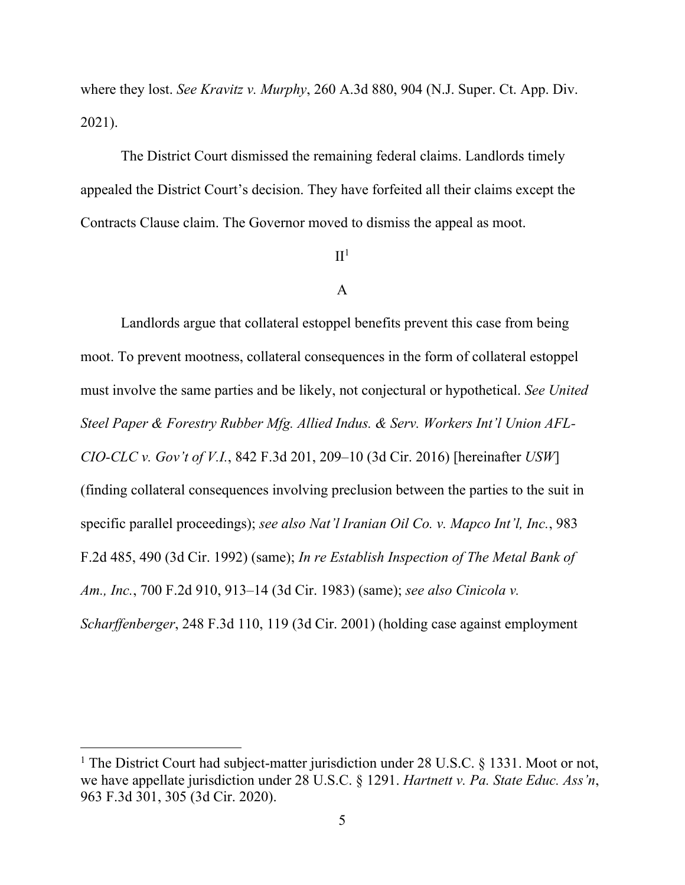where they lost. *See Kravitz v. Murphy*, 260 A.3d 880, 904 (N.J. Super. Ct. App. Div. 2021).

The District Court dismissed the remaining federal claims. Landlords timely appealed the District Court's decision. They have forfeited all their claims except the Contracts Clause claim. The Governor moved to dismiss the appeal as moot.

# $\mathrm{II}^1$

## A

Landlords argue that collateral estoppel benefits prevent this case from being moot. To prevent mootness, collateral consequences in the form of collateral estoppel must involve the same parties and be likely, not conjectural or hypothetical. *See United Steel Paper & Forestry Rubber Mfg. Allied Indus. & Serv. Workers Int'l Union AFL-CIO-CLC v. Gov't of V.I.*, 842 F.3d 201, 209–10 (3d Cir. 2016) [hereinafter *USW*] (finding collateral consequences involving preclusion between the parties to the suit in specific parallel proceedings); *see also Nat'l Iranian Oil Co. v. Mapco Int'l, Inc.*, 983 F.2d 485, 490 (3d Cir. 1992) (same); *In re Establish Inspection of The Metal Bank of Am., Inc.*, 700 F.2d 910, 913–14 (3d Cir. 1983) (same); *see also Cinicola v. Scharffenberger*, 248 F.3d 110, 119 (3d Cir. 2001) (holding case against employment

<sup>&</sup>lt;sup>1</sup> The District Court had subject-matter jurisdiction under 28 U.S.C. § 1331. Moot or not, we have appellate jurisdiction under 28 U.S.C. § 1291. *Hartnett v. Pa. State Educ. Ass'n*, 963 F.3d 301, 305 (3d Cir. 2020).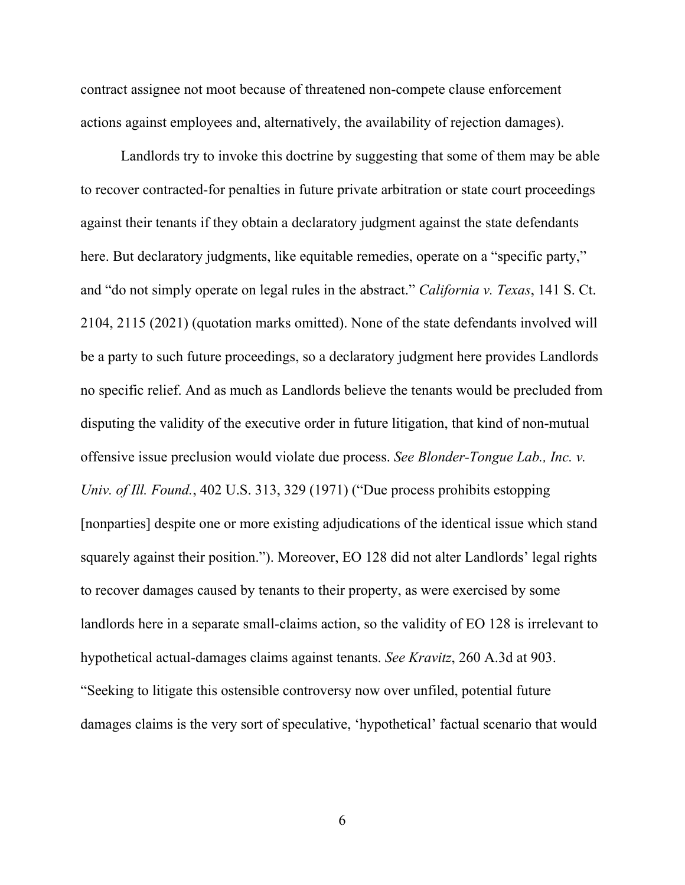contract assignee not moot because of threatened non-compete clause enforcement actions against employees and, alternatively, the availability of rejection damages).

Landlords try to invoke this doctrine by suggesting that some of them may be able to recover contracted-for penalties in future private arbitration or state court proceedings against their tenants if they obtain a declaratory judgment against the state defendants here. But declaratory judgments, like equitable remedies, operate on a "specific party," and "do not simply operate on legal rules in the abstract." *California v. Texas*, 141 S. Ct. 2104, 2115 (2021) (quotation marks omitted). None of the state defendants involved will be a party to such future proceedings, so a declaratory judgment here provides Landlords no specific relief. And as much as Landlords believe the tenants would be precluded from disputing the validity of the executive order in future litigation, that kind of non-mutual offensive issue preclusion would violate due process. *See Blonder-Tongue Lab., Inc. v. Univ. of Ill. Found.*, 402 U.S. 313, 329 (1971) ("Due process prohibits estopping [nonparties] despite one or more existing adjudications of the identical issue which stand squarely against their position."). Moreover, EO 128 did not alter Landlords' legal rights to recover damages caused by tenants to their property, as were exercised by some landlords here in a separate small-claims action, so the validity of EO 128 is irrelevant to hypothetical actual-damages claims against tenants. *See Kravitz*, 260 A.3d at 903. "Seeking to litigate this ostensible controversy now over unfiled, potential future damages claims is the very sort of speculative, 'hypothetical' factual scenario that would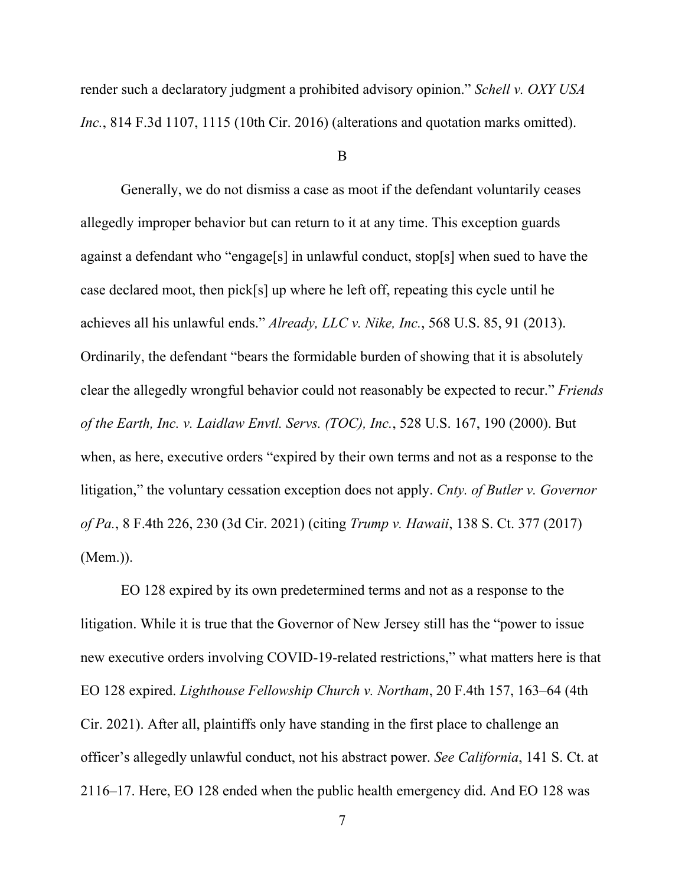render such a declaratory judgment a prohibited advisory opinion." *Schell v. OXY USA Inc.*, 814 F.3d 1107, 1115 (10th Cir. 2016) (alterations and quotation marks omitted).

B

Generally, we do not dismiss a case as moot if the defendant voluntarily ceases allegedly improper behavior but can return to it at any time. This exception guards against a defendant who "engage[s] in unlawful conduct, stop[s] when sued to have the case declared moot, then pick[s] up where he left off, repeating this cycle until he achieves all his unlawful ends." *Already, LLC v. Nike, Inc.*, 568 U.S. 85, 91 (2013). Ordinarily, the defendant "bears the formidable burden of showing that it is absolutely clear the allegedly wrongful behavior could not reasonably be expected to recur." *Friends of the Earth, Inc. v. Laidlaw Envtl. Servs. (TOC), Inc.*, 528 U.S. 167, 190 (2000). But when, as here, executive orders "expired by their own terms and not as a response to the litigation," the voluntary cessation exception does not apply. *Cnty. of Butler v. Governor of Pa.*, 8 F.4th 226, 230 (3d Cir. 2021) (citing *Trump v. Hawaii*, 138 S. Ct. 377 (2017) (Mem.)).

EO 128 expired by its own predetermined terms and not as a response to the litigation. While it is true that the Governor of New Jersey still has the "power to issue new executive orders involving COVID-19-related restrictions," what matters here is that EO 128 expired. *Lighthouse Fellowship Church v. Northam*, 20 F.4th 157, 163–64 (4th Cir. 2021). After all, plaintiffs only have standing in the first place to challenge an officer's allegedly unlawful conduct, not his abstract power. *See California*, 141 S. Ct. at 2116–17. Here, EO 128 ended when the public health emergency did. And EO 128 was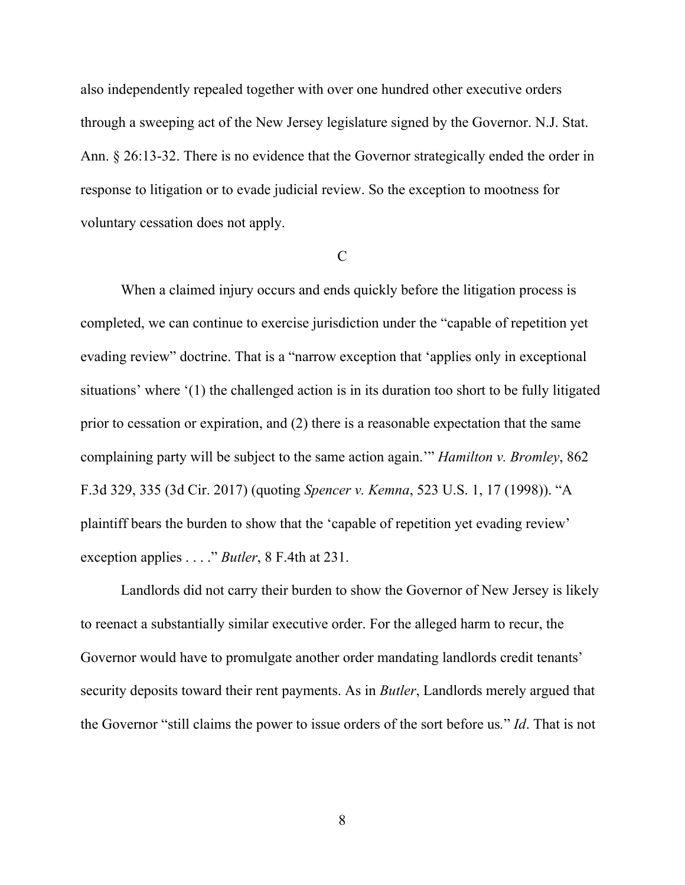also independently repealed together with over one hundred other executive orders through a sweeping act of the New Jersey legislature signed by the Governor. N.J. Stat. Ann. § 26:13-32. There is no evidence that the Governor strategically ended the order in response to litigation or to evade judicial review. So the exception to mootness for voluntary cessation does not apply.

#### $\mathcal{C}$

When a claimed injury occurs and ends quickly before the litigation process is completed, we can continue to exercise jurisdiction under the "capable of repetition yet evading review" doctrine. That is a "narrow exception that 'applies only in exceptional situations' where '(1) the challenged action is in its duration too short to be fully litigated prior to cessation or expiration, and (2) there is a reasonable expectation that the same complaining party will be subject to the same action again.'" *Hamilton v. Bromley*, 862 F.3d 329, 335 (3d Cir. 2017) (quoting *Spencer v. Kemna*, 523 U.S. 1, 17 (1998)). "A plaintiff bears the burden to show that the 'capable of repetition yet evading review' exception applies . . . ." *Butler*, 8 F.4th at 231.

Landlords did not carry their burden to show the Governor of New Jersey is likely to reenact a substantially similar executive order. For the alleged harm to recur, the Governor would have to promulgate another order mandating landlords credit tenants' security deposits toward their rent payments. As in *Butler*, Landlords merely argued that the Governor "still claims the power to issue orders of the sort before us*.*" *Id*. That is not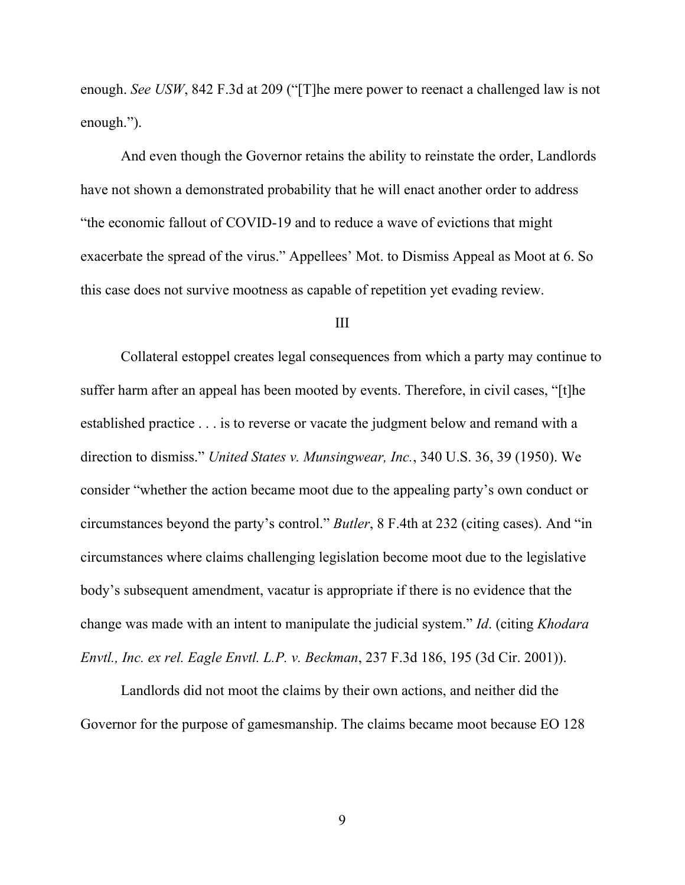enough. *See USW*, 842 F.3d at 209 ("[T]he mere power to reenact a challenged law is not enough.").

And even though the Governor retains the ability to reinstate the order, Landlords have not shown a demonstrated probability that he will enact another order to address "the economic fallout of COVID-19 and to reduce a wave of evictions that might exacerbate the spread of the virus." Appellees' Mot. to Dismiss Appeal as Moot at 6. So this case does not survive mootness as capable of repetition yet evading review.

#### III

Collateral estoppel creates legal consequences from which a party may continue to suffer harm after an appeal has been mooted by events. Therefore, in civil cases, "[t]he established practice . . . is to reverse or vacate the judgment below and remand with a direction to dismiss." *United States v. Munsingwear, Inc.*, 340 U.S. 36, 39 (1950). We consider "whether the action became moot due to the appealing party's own conduct or circumstances beyond the party's control." *Butler*, 8 F.4th at 232 (citing cases). And "in circumstances where claims challenging legislation become moot due to the legislative body's subsequent amendment, vacatur is appropriate if there is no evidence that the change was made with an intent to manipulate the judicial system." *Id*. (citing *Khodara Envtl., Inc. ex rel. Eagle Envtl. L.P. v. Beckman*, 237 F.3d 186, 195 (3d Cir. 2001)).

Landlords did not moot the claims by their own actions, and neither did the Governor for the purpose of gamesmanship. The claims became moot because EO 128